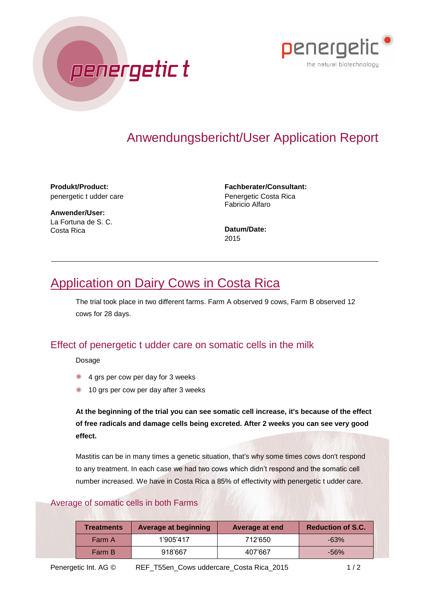



**Produkt/Product:** penergetic t udder care

**Anwender/User:** La Fortuna de S. C. Costa Rica

**Fachberater/Consultant:** Penergetic Costa Rica Fabricio Alfaro

**Datum/Date:** 2015

## Application on Dairy Cows in Costa Rica

The trial took place in two different farms. Farm A observed 9 cows, Farm B observed 12 cows for 28 days.

## Effect of penergetic t udder care on somatic cells in the milk

Dosage

4 grs per cow per day for 3 weeks

penergetic t

10 grs per cow per day after 3 weeks

**At the beginning of the trial you can see somatic cell increase, it's because of the effect of free radicals and damage cells being excreted. After 2 weeks you can see very good effect.**

Mastitis can be in many times a genetic situation, that's why some times cows don't respond to any treatment. In each case we had two cows which didn't respond and the somatic cell number increased. We have in Costa Rica a 85% of effectivity with penergetic t udder care.

## Average of somatic cells in both Farms

| <b>Treatments</b> | Average at beginning | Average at end | <b>Reduction of S.C.</b> |
|-------------------|----------------------|----------------|--------------------------|
| Farm A            | 1'905'417            | 712'650        | $-63%$                   |
| Farm B            | 918'667              | 407'667        | $-56%$                   |